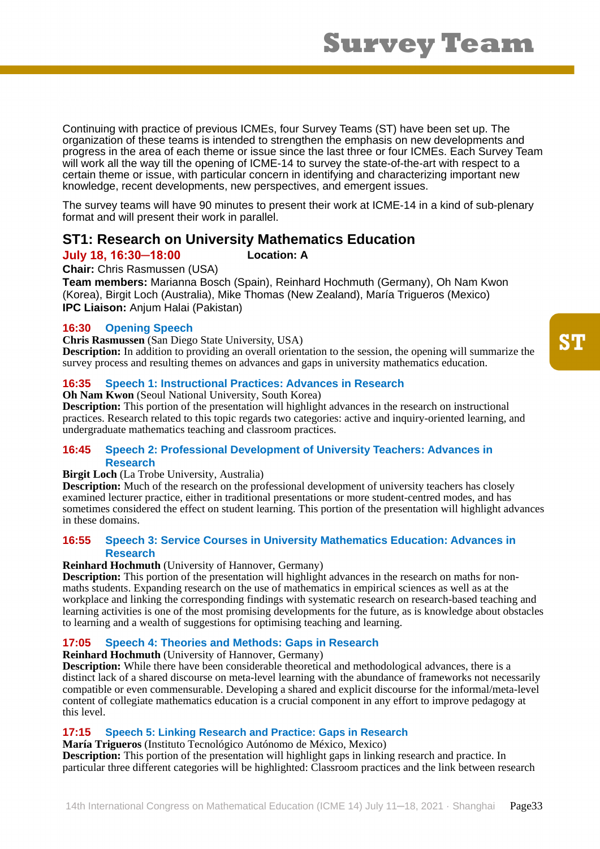Continuing with practice of previous ICMEs, four Survey Teams (ST) have been set up. The organization of these teams is intended to strengthen the emphasis on new developments and progress in the area of each theme or issue since the last three or four ICMEs. Each Survey Team will work all the way till the opening of ICME-14 to survey the state-of-the-art with respect to a certain theme or issue, with particular concern in identifying and characterizing important new knowledge, recent developments, new perspectives, and emergent issues.

The survey teams will have 90 minutes to present their work at ICME-14 in a kind of sub-plenary format and will present their work in parallel.

# **ST1: Research on University Mathematics Education**

# **July 18, 16:30─18:00 Location: A**

**Chair:** Chris Rasmussen (USA)

**Team members:** Marianna Bosch (Spain), Reinhard Hochmuth (Germany), Oh Nam Kwon (Korea), Birgit Loch (Australia), Mike Thomas (New Zealand), María Trigueros (Mexico) **IPC Liaison:** Anjum Halai (Pakistan)

# **16:30 Opening Speech**

**Chris Rasmussen** (San Diego State University, USA)

**Description:** In addition to providing an overall orientation to the session, the opening will summarize the survey process and resulting themes on advances and gaps in university mathematics education.

# **16:35 Speech 1: Instructional Practices: Advances in Research**

**Oh Nam Kwon** (Seoul National University, South Korea)

**Description:** This portion of the presentation will highlight advances in the research on instructional practices. Research related to this topic regards two categories: active and inquiry-oriented learning, and undergraduate mathematics teaching and classroom practices.

# **16:45 Speech 2: Professional Development of University Teachers: Advances in Research**

#### **Birgit Loch** (La Trobe University, Australia)

**Description:** Much of the research on the professional development of university teachers has closely examined lecturer practice, either in traditional presentations or more student-centred modes, and has sometimes considered the effect on student learning. This portion of the presentation will highlight advances in these domains.

# **16:55 Speech 3: Service Courses in University Mathematics Education: Advances in Research**

#### **Reinhard Hochmuth** (University of Hannover, Germany)

**Description:** This portion of the presentation will highlight advances in the research on maths for nonmaths students. Expanding research on the use of mathematics in empirical sciences as well as at the workplace and linking the corresponding findings with systematic research on research-based teaching and learning activities is one of the most promising developments for the future, as is knowledge about obstacles to learning and a wealth of suggestions for optimising teaching and learning.

# **17:05 Speech 4: Theories and Methods: Gaps in Research**

**Reinhard Hochmuth** (University of Hannover, Germany)

**Description:** While there have been considerable theoretical and methodological advances, there is a distinct lack of a shared discourse on meta-level learning with the abundance of frameworks not necessarily compatible or even commensurable. Developing a shared and explicit discourse for the informal/meta-level content of collegiate mathematics education is a crucial component in any effort to improve pedagogy at this level.

# **17:15 Speech 5: Linking Research and Practice: Gaps in Research**

**María Trigueros** (Instituto Tecnológico Autónomo de México, Mexico) **Description:** This portion of the presentation will highlight gaps in linking research and practice. In particular three different categories will be highlighted: Classroom practices and the link between research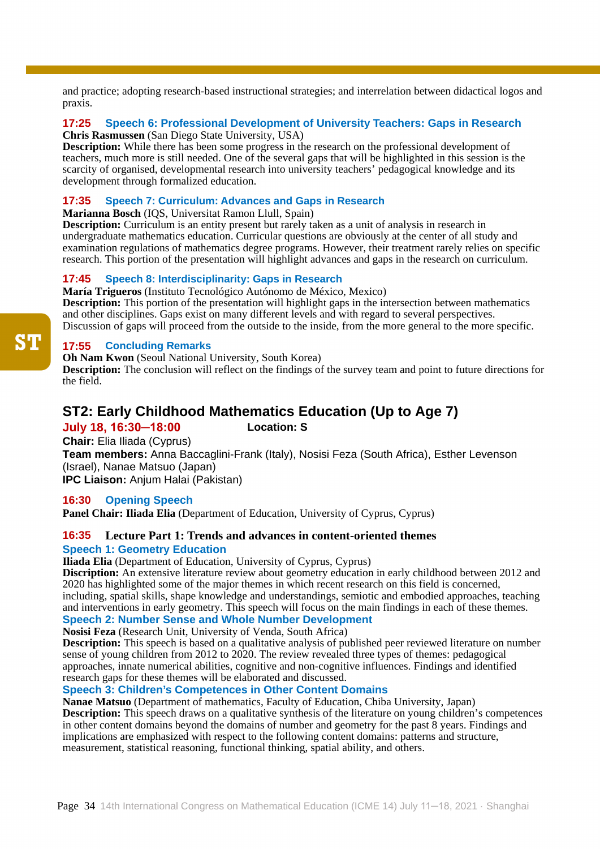and practice; adopting research-based instructional strategies; and interrelation between didactical logos and praxis.

### **17:25 Speech 6: Professional Development of University Teachers: Gaps in Research Chris Rasmussen** (San Diego State University, USA)

**Description:** While there has been some progress in the research on the professional development of teachers, much more is still needed. One of the several gaps that will be highlighted in this session is the scarcity of organised, developmental research into university teachers' pedagogical knowledge and its development through formalized education.

# **17:35 Speech 7: Curriculum: Advances and Gaps in Research**

**Marianna Bosch** (IQS, Universitat Ramon Llull, Spain)

**Description:** Curriculum is an entity present but rarely taken as a unit of analysis in research in undergraduate mathematics education. Curricular questions are obviously at the center of all study and examination regulations of mathematics degree programs. However, their treatment rarely relies on specific research. This portion of the presentation will highlight advances and gaps in the research on curriculum.

# **17:45 Speech 8: Interdisciplinarity: Gaps in Research**

**María Trigueros** (Instituto Tecnológico Autónomo de México, Mexico) **Description:** This portion of the presentation will highlight gaps in the intersection between mathematics and other disciplines. Gaps exist on many different levels and with regard to several perspectives. Discussion of gaps will proceed from the outside to the inside, from the more general to the more specific.

# **17:55 Concluding Remarks**

**Oh Nam Kwon** (Seoul National University, South Korea)

**Description:** The conclusion will reflect on the findings of the survey team and point to future directions for the field.

# **ST2: Early Childhood Mathematics Education (Up to Age 7)**

# **July 18, 16:30─18:00 Location: S**

**Chair:** Elia Iliada (Cyprus) **Team members:** Anna Baccaglini-Frank (Italy), Nosisi Feza (South Africa), Esther Levenson (Israel), Nanae Matsuo (Japan) **IPC Liaison:** Anjum Halai (Pakistan)

# **16:30 Opening Speech**

**Panel Chair: Iliada Elia** (Department of Education, University of Cyprus, Cyprus)

# **16:35 Lecture Part 1: Trends and advances in content-oriented themes Speech 1: Geometry Education**

**Iliada Elia** (Department of Education, University of Cyprus, Cyprus)

**Discription:** An extensive literature review about geometry education in early childhood between 2012 and 2020 has highlighted some of the major themes in which recent research on this field is concerned, including, spatial skills, shape knowledge and understandings, semiotic and embodied approaches, teaching and interventions in early geometry. This speech will focus on the main findings in each of these themes. **Speech 2: Number Sense and Whole Number Development**

# **Nosisi Feza** (Research Unit, University of Venda, South Africa)

**Description:** This speech is based on a qualitative analysis of published peer reviewed literature on number sense of young children from 2012 to 2020. The review revealed three types of themes: pedagogical approaches, innate numerical abilities, cognitive and non-cognitive influences. Findings and identified research gaps for these themes will be elaborated and discussed.

# **Speech 3: Children's Competences in Other Content Domains**

**Nanae Matsuo** (Department of mathematics, Faculty of Education, Chiba University, Japan) **Description:** This speech draws on a qualitative synthesis of the literature on young children's competences in other content domains beyond the domains of number and geometry for the past 8 years. Findings and implications are emphasized with respect to the following content domains: patterns and structure, measurement, statistical reasoning, functional thinking, spatial ability, and others.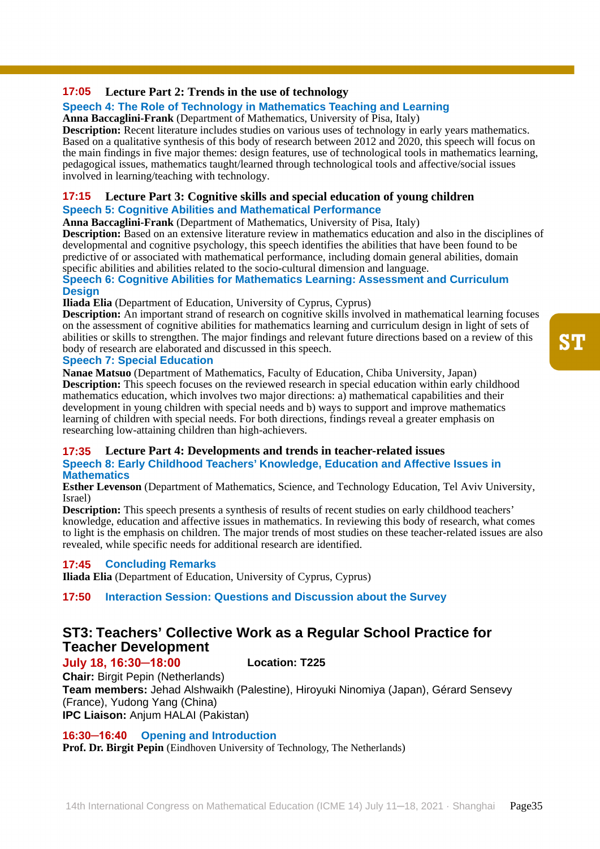# **17:05 Lecture Part 2: Trends in the use of technology**

# **Speech 4: The Role of Technology in Mathematics Teaching and Learning**

**Anna Baccaglini-Frank** (Department of Mathematics, University of Pisa, Italy)

**Description:** Recent literature includes studies on various uses of technology in early years mathematics. Based on a qualitative synthesis of this body of research between 2012 and 2020, this speech will focus on the main findings in five major themes: design features, use of technological tools in mathematics learning, pedagogical issues, mathematics taught/learned through technological tools and affective/social issues involved in learning/teaching with technology.

#### **17:15 Lecture Part 3: Cognitive skills and special education of young children Speech 5: Cognitive Abilities and Mathematical Performance**

**Anna Baccaglini-Frank** (Department of Mathematics, University of Pisa, Italy)

**Description:** Based on an extensive literature review in mathematics education and also in the disciplines of developmental and cognitive psychology, this speech identifies the abilities that have been found to be predictive of or associated with mathematical performance, including domain general abilities, domain specific abilities and abilities related to the socio-cultural dimension and language.

#### **Speech 6: Cognitive Abilities for Mathematics Learning: Assessment and Curriculum Design**

**Iliada Elia** (Department of Education, University of Cyprus, Cyprus)

**Description:** An important strand of research on cognitive skills involved in mathematical learning focuses on the assessment of cognitive abilities for mathematics learning and curriculum design in light of sets of abilities or skills to strengthen. The major findings and relevant future directions based on a review of this body of research are elaborated and discussed in this speech.

### **Speech 7: Special Education**

**Nanae Matsuo** (Department of Mathematics, Faculty of Education, Chiba University, Japan) **Description:** This speech focuses on the reviewed research in special education within early childhood mathematics education, which involves two major directions:  $\hat{a}$ ) mathematical capabilities and their development in young children with special needs and b) ways to support and improve mathematics learning of children with special needs. For both directions, findings reveal a greater emphasis on researching low-attaining children than high-achievers.

#### **17:35 Lecture Part 4: Developments and trends in teacher-related issues Speech 8: Early Childhood Teachers' Knowledge, Education and Affective Issues in Mathematics**

**Esther Levenson** (Department of Mathematics, Science, and Technology Education, Tel Aviv University, Israel)

**Description:** This speech presents a synthesis of results of recent studies on early childhood teachers' knowledge, education and affective issues in mathematics. In reviewing this body of research, what comes to light is the emphasis on children. The major trends of most studies on these teacher-related issues are also revealed, while specific needs for additional research are identified.

#### **17:45 Concluding Remarks**

**Iliada Elia** (Department of Education, University of Cyprus, Cyprus)

#### **17:50 Interaction Session: Questions and Discussion about the Survey**

# **ST3: Teachers' Collective Work as a Regular School Practice for Teacher Development**

# **July 18, 16:30─18:00 Location: T225**

**Chair:** Birgit Pepin (Netherlands) **Team members:** Jehad Alshwaikh (Palestine), Hiroyuki Ninomiya (Japan), Gérard Sensevy (France), Yudong Yang (China) **IPC Liaison:** Anjum HALAI (Pakistan)

### **16:30─16:40 Opening and Introduction**

**Prof. Dr. Birgit Pepin** (Eindhoven University of Technology, The Netherlands)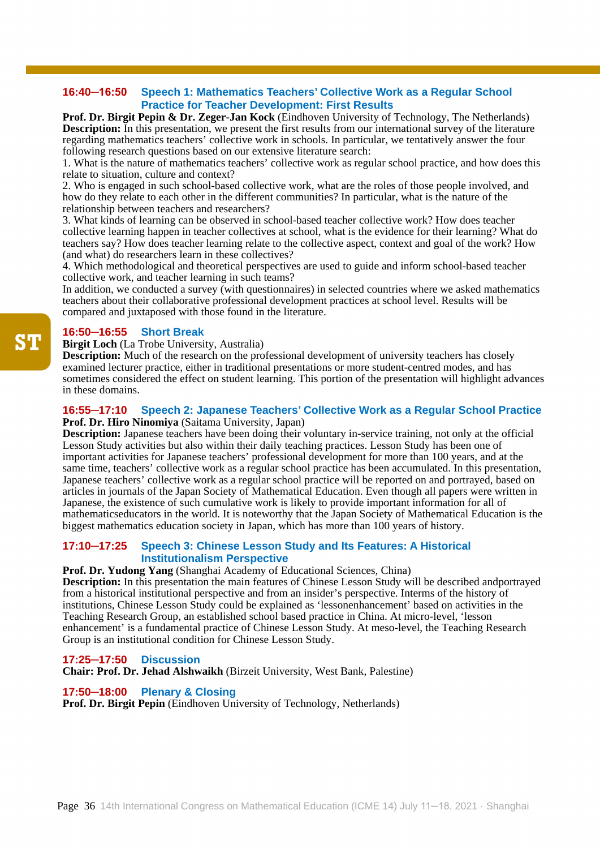#### **16:40─16:50 Speech 1: Mathematics Teachers' Collective Work as a Regular School Practice for Teacher Development: First Results**

**Prof. Dr. Birgit Pepin & Dr. Zeger-Jan Kock** (Eindhoven University of Technology, The Netherlands) **Description:** In this presentation, we present the first results from our international survey of the literature regarding mathematics teachers' collective work in schools. In particular, we tentatively answer the four following research questions based on our extensive literature search:

1. What is the nature of mathematics teachers' collective work as regular school practice, and how does this relate to situation, culture and context?

2. Who is engaged in such school-based collective work, what are the roles of those people involved, and how do they relate to each other in the different communities? In particular, what is the nature of the relationship between teachers and researchers?

3. What kinds of learning can be observed in school-based teacher collective work? How does teacher collective learning happen in teacher collectives at school, what is the evidence for their learning? What do teachers say? How does teacher learning relate to the collective aspect, context and goal of the work? How (and what) do researchers learn in these collectives?

4. Which methodological and theoretical perspectives are used to guide and inform school-based teacher collective work, and teacher learning in such teams?

In addition, we conducted a survey (with questionnaires) in selected countries where we asked mathematics teachers about their collaborative professional development practices at school level. Results will be compared and juxtaposed with those found in the literature.

# **16:50─16:55 Short Break**

**Birgit Loch** (La Trobe University, Australia)

**Description:** Much of the research on the professional development of university teachers has closely examined lecturer practice, either in traditional presentations or more student-centred modes, and has sometimes considered the effect on student learning. This portion of the presentation will highlight advances in these domains.

#### **16:55─17:10 Speech 2: Japanese Teachers' Collective Work as a Regular School Practice Prof. Dr. Hiro Ninomiya** (Saitama University, Japan)

**Description:** Japanese teachers have been doing their voluntary in-service training, not only at the official Lesson Study activities but also within their daily teaching practices. Lesson Study has been one of important activities for Japanese teachers' professional development for more than 100 years, and at the same time, teachers' collective work as a regular school practice has been accumulated. In this presentation, Japanese teachers' collective work as a regular school practice will be reported on and portrayed, based on articles in journals of the Japan Society of Mathematical Education. Even though all papers were written in Japanese, the existence of such cumulative work is likely to provide important information for all of mathematicseducators in the world. It is noteworthy that the Japan Society of Mathematical Education is the biggest mathematics education society in Japan, which has more than 100 years of history.

#### **17:10─17:25 Speech 3: Chinese Lesson Study and Its Features: A Historical Institutionalism Perspective**

#### **Prof. Dr. Yudong Yang** (Shanghai Academy of Educational Sciences, China)

**Description:** In this presentation the main features of Chinese Lesson Study will be described andportrayed from a historical institutional perspective and from an insider's perspective. Interms of the history of institutions, Chinese Lesson Study could be explained as 'lessonenhancement' based on activities in the Teaching Research Group, an established school based practice in China. At micro-level, 'lesson enhancement' is a fundamental practice of Chinese Lesson Study. At meso-level, the Teaching Research Group is an institutional condition for Chinese Lesson Study.

#### **17:25─17:50 Discussion**

**Chair: Prof. Dr. Jehad Alshwaikh** (Birzeit University, West Bank, Palestine)

# **17:50─18:00 Plenary & Closing**

**Prof. Dr. Birgit Pepin** (Eindhoven University of Technology, Netherlands)